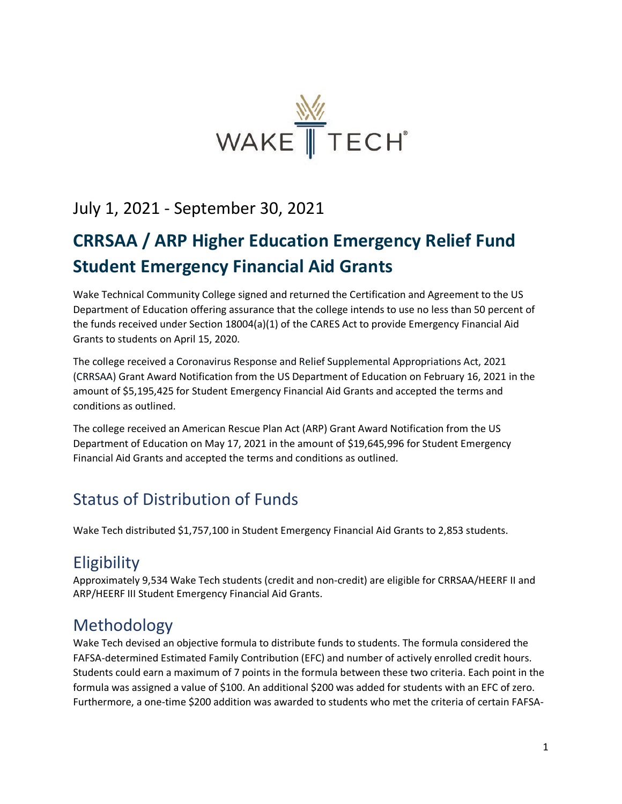

### July 1, 2021 - September 30, 2021

# **CRRSAA / ARP Higher Education Emergency Relief Fund Student Emergency Financial Aid Grants**

Wake Technical Community College signed and returned the Certification and Agreement to the US Department of Education offering assurance that the college intends to use no less than 50 percent of the funds received under Section 18004(a)(1) of the CARES Act to provide Emergency Financial Aid Grants to students on April 15, 2020.

The college received a Coronavirus Response and Relief Supplemental Appropriations Act, 2021 (CRRSAA) Grant Award Notification from the US Department of Education on February 16, 2021 in the amount of \$5,195,425 for Student Emergency Financial Aid Grants and accepted the terms and conditions as outlined.

The college received an American Rescue Plan Act (ARP) Grant Award Notification from the US Department of Education on May 17, 2021 in the amount of \$19,645,996 for Student Emergency Financial Aid Grants and accepted the terms and conditions as outlined.

### Status of Distribution of Funds

Wake Tech distributed \$1,757,100 in Student Emergency Financial Aid Grants to 2,853 students.

### **Eligibility**

Approximately 9,534 Wake Tech students (credit and non-credit) are eligible for CRRSAA/HEERF II and ARP/HEERF III Student Emergency Financial Aid Grants.

## Methodology

Wake Tech devised an objective formula to distribute funds to students. The formula considered the FAFSA-determined Estimated Family Contribution (EFC) and number of actively enrolled credit hours. Students could earn a maximum of 7 points in the formula between these two criteria. Each point in the formula was assigned a value of \$100. An additional \$200 was added for students with an EFC of zero. Furthermore, a one-time \$200 addition was awarded to students who met the criteria of certain FAFSA-